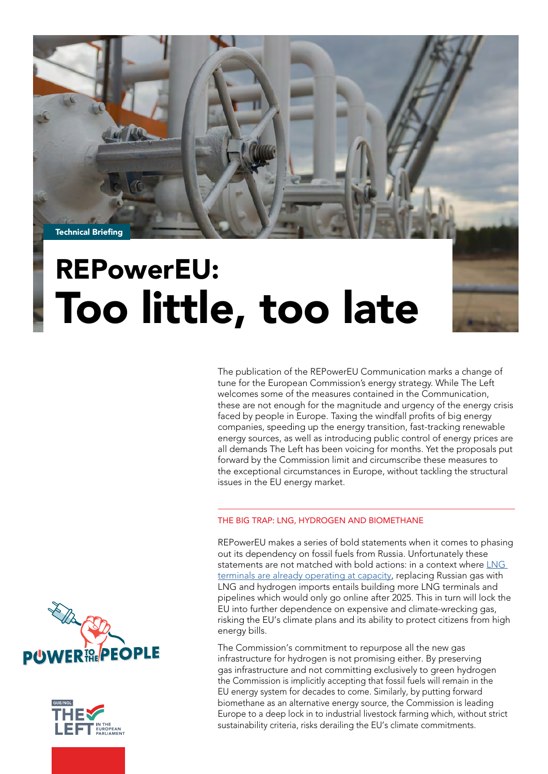

# Too little, too late

The publication of the REPowerEU Communication marks a change of tune for the European Commission's energy strategy. While The Left welcomes some of the measures contained in the Communication, these are not enough for the magnitude and urgency of the energy crisis faced by people in Europe. Taxing the windfall profits of big energy companies, speeding up the energy transition, fast-tracking renewable energy sources, as well as introducing public control of energy prices are all demands The Left has been voicing for months. Yet the proposals put forward by the Commission limit and circumscribe these measures to the exceptional circumstances in Europe, without tackling the structural issues in the EU energy market.

### THE BIG TRAP: LNG, HYDROGEN AND BIOMETHANE

REPowerEU makes a series of bold statements when it comes to phasing out its dependency on fossil fuels from Russia. Unfortunately these statements are not matched with bold actions: in a context where [LNG](https://www.euractiv.com/section/energy-environment/news/brimming-european-lng-terminals-have-limited-space-for-more-gas/)  [terminals are already operating at capacity](https://www.euractiv.com/section/energy-environment/news/brimming-european-lng-terminals-have-limited-space-for-more-gas/), replacing Russian gas with LNG and hydrogen imports entails building more LNG terminals and pipelines which would only go online after 2025. This in turn will lock the EU into further dependence on expensive and climate-wrecking gas, risking the EU's climate plans and its ability to protect citizens from high energy bills.

The Commission's commitment to repurpose all the new gas infrastructure for hydrogen is not promising either. By preserving gas infrastructure and not committing exclusively to green hydrogen the Commission is implicitly accepting that fossil fuels will remain in the EU energy system for decades to come. Similarly, by putting forward biomethane as an alternative energy source, the Commission is leading Europe to a deep lock in to industrial livestock farming which, without strict sustainability criteria, risks derailing the EU's climate commitments.



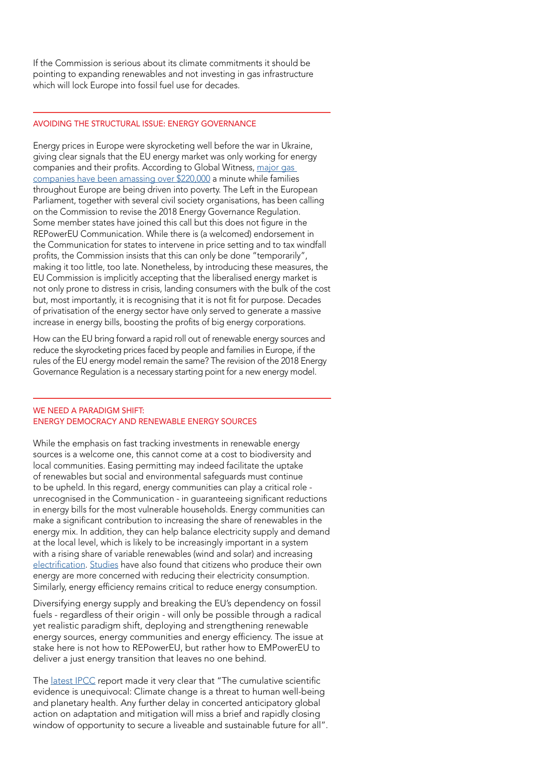If the Commission is serious about its climate commitments it should be pointing to expanding renewables and not investing in gas infrastructure which will lock Europe into fossil fuel use for decades.

#### AVOIDING THE STRUCTURAL ISSUE: ENERGY GOVERNANCE

Energy prices in Europe were skyrocketing well before the war in Ukraine, giving clear signals that the EU energy market was only working for energy companies and their profits. According to Global Witness, [major gas](https://www.globalwitness.org/en/campaigns/fossil-gas/major-gas-companies-amass-over-220000-a-minute-as-europes-record-gas-prices-drive-millions-into-poverty/)  [companies have been amassing over \\$220,000](https://www.globalwitness.org/en/campaigns/fossil-gas/major-gas-companies-amass-over-220000-a-minute-as-europes-record-gas-prices-drive-millions-into-poverty/) a minute while families throughout Europe are being driven into poverty. The Left in the European Parliament, together with several civil society organisations, has been calling on the Commission to revise the 2018 Energy Governance Regulation. Some member states have joined this call but this does not figure in the REPowerEU Communication. While there is (a welcomed) endorsement in the Communication for states to intervene in price setting and to tax windfall profits, the Commission insists that this can only be done "temporarily", making it too little, too late. Nonetheless, by introducing these measures, the EU Commission is implicitly accepting that the liberalised energy market is not only prone to distress in crisis, landing consumers with the bulk of the cost but, most importantly, it is recognising that it is not fit for purpose. Decades of privatisation of the energy sector have only served to generate a massive increase in energy bills, boosting the profits of big energy corporations.

How can the EU bring forward a rapid roll out of renewable energy sources and reduce the skyrocketing prices faced by people and families in Europe, if the rules of the EU energy model remain the same? The revision of the 2018 Energy Governance Regulation is a necessary starting point for a new energy model.

#### WE NEED A PARADIGM SHIFT: ENERGY DEMOCRACY AND RENEWABLE ENERGY SOURCES

While the emphasis on fast tracking investments in renewable energy sources is a welcome one, this cannot come at a cost to biodiversity and local communities. Easing permitting may indeed facilitate the uptake of renewables but social and environmental safeguards must continue to be upheld. In this regard, energy communities can play a critical role unrecognised in the Communication - in guaranteeing significant reductions in energy bills for the most vulnerable households. Energy communities can make a significant contribution to increasing the share of renewables in the energy mix. In addition, they can help balance electricity supply and demand at the local level, which is likely to be increasingly important in a system with a rising share of variable renewables (wind and solar) and increasing [electrification](https://www.energymonitor.ai/tech/electrification). [Studies](https://www.sciencedirect.com/science/article/pii/S2214629619306632) have also found that citizens who produce their own energy are more concerned with reducing their electricity consumption. Similarly, energy efficiency remains critical to reduce energy consumption.

Diversifying energy supply and breaking the EU's dependency on fossil fuels - regardless of their origin - will only be possible through a radical yet realistic paradigm shift, deploying and strengthening renewable energy sources, energy communities and energy efficiency. The issue at stake here is not how to REPowerEU, but rather how to EMPowerEU to deliver a just energy transition that leaves no one behind.

The [latest IPCC](https://www.ipcc.ch/report/ar6/wg2/) report made it very clear that "The cumulative scientific evidence is unequivocal: Climate change is a threat to human well-being and planetary health. Any further delay in concerted anticipatory global action on adaptation and mitigation will miss a brief and rapidly closing window of opportunity to secure a liveable and sustainable future for all".